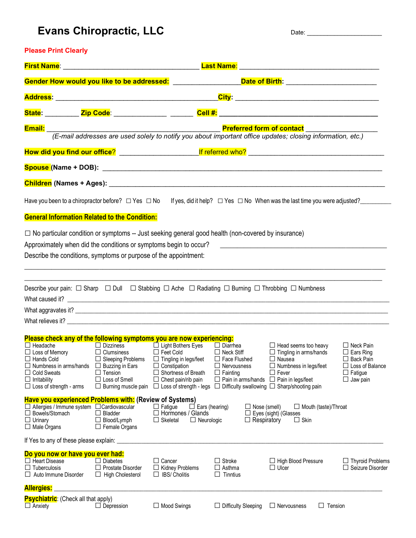## Evans Chiropractic, LLC Date: Date: Date:

### **Please Print Clearly**

|                                                                                                                                                                                                                                                     |                                                                                                                                                 |                                                                                                                                                                                                                                                                              |                                                                                                                                         | <u>Gender How would you like to be addressed: ____________________Date of Birth: _____________________</u>                          |                                                                                                                         |
|-----------------------------------------------------------------------------------------------------------------------------------------------------------------------------------------------------------------------------------------------------|-------------------------------------------------------------------------------------------------------------------------------------------------|------------------------------------------------------------------------------------------------------------------------------------------------------------------------------------------------------------------------------------------------------------------------------|-----------------------------------------------------------------------------------------------------------------------------------------|-------------------------------------------------------------------------------------------------------------------------------------|-------------------------------------------------------------------------------------------------------------------------|
|                                                                                                                                                                                                                                                     |                                                                                                                                                 |                                                                                                                                                                                                                                                                              |                                                                                                                                         |                                                                                                                                     |                                                                                                                         |
|                                                                                                                                                                                                                                                     |                                                                                                                                                 |                                                                                                                                                                                                                                                                              |                                                                                                                                         | <u>State: _________ Zip Code: _____________ ______</u> Cell #: ______________________________                                       |                                                                                                                         |
| Email:                                                                                                                                                                                                                                              |                                                                                                                                                 |                                                                                                                                                                                                                                                                              | <b>Preferred form of contact</b>                                                                                                        | (E-mail addresses are used solely to notify you about important office updates; closing information, etc.)                          |                                                                                                                         |
|                                                                                                                                                                                                                                                     |                                                                                                                                                 |                                                                                                                                                                                                                                                                              |                                                                                                                                         |                                                                                                                                     |                                                                                                                         |
|                                                                                                                                                                                                                                                     |                                                                                                                                                 |                                                                                                                                                                                                                                                                              |                                                                                                                                         |                                                                                                                                     |                                                                                                                         |
|                                                                                                                                                                                                                                                     |                                                                                                                                                 |                                                                                                                                                                                                                                                                              |                                                                                                                                         |                                                                                                                                     |                                                                                                                         |
| <b>General Information Related to the Condition:</b>                                                                                                                                                                                                |                                                                                                                                                 |                                                                                                                                                                                                                                                                              |                                                                                                                                         | Have you been to a chiropractor before? □ Yes □ No lf yes, did it help? □ Yes □ No When was the last time you were adjusted?_______ |                                                                                                                         |
| $\Box$ No particular condition or symptoms -- Just seeking general good health (non-covered by insurance)<br>Approximately when did the conditions or symptoms begin to occur?<br>Describe the conditions, symptoms or purpose of the appointment:  |                                                                                                                                                 |                                                                                                                                                                                                                                                                              |                                                                                                                                         |                                                                                                                                     |                                                                                                                         |
| Describe your pain: $\Box$ Sharp $\Box$ Dull $\Box$ Stabbing $\Box$ Ache $\Box$ Radiating $\Box$ Burning $\Box$ Throbbing $\Box$ Numbness                                                                                                           |                                                                                                                                                 |                                                                                                                                                                                                                                                                              |                                                                                                                                         |                                                                                                                                     |                                                                                                                         |
| Please check any of the following symptoms you are now experiencing:<br>$\Box$ Headache<br>$\Box$ Loss of Memory<br>$\Box$ Hands Cold<br>Numbness in arms/hands<br>⊔<br><b>Cold Sweats</b><br>$\Box$ Irritability<br>$\Box$ Loss of strength - arms | $\Box$ Clumsiness<br>$\Box$ Sleeping Problems<br>$\Box$ Buzzing in Ears<br>$\Box$ Tension<br>$\Box$ Loss of Smell<br>$\Box$ Burning muscle pain | □ Dizziness □ Light Bothers Eyes □ Diarrhea<br>$\Box$ Feet Cold<br>$\Box$ Tingling in legs/feet<br>$\Box$ Constipation<br>$\Box$ Shortness of Breath<br>$\Box$ Chest pain/rib pain<br>$\Box$ Loss of strength - legs $\Box$ Difficulty swallowing $\Box$ Sharp/shooting pain | $\Box$ Neck Stiff<br>$\Box$ Face Flushed<br>$\Box$ Nervousness<br>$\Box$ Fainting<br>$\Box$ Pain in arms/hands $\Box$ Pain in legs/feet | $\Box$ Head seems too heavy<br>$\Box$ Tingling in arms/hands<br>$\Box$ Nausea<br>$\Box$ Numbness in legs/feet<br>$\Box$ Fever       | $\Box$ Neck Pain<br>$\Box$ Ears Ring<br>$\Box$ Back Pain<br>$\Box$ Loss of Balance<br>$\Box$ Fatigue<br>$\Box$ Jaw pain |
| <b>Have you experienced Problems with: (Review of Systems)</b><br>$\Box$ Allergies / Immune system $\Box$ Cardiovascular<br>$\Box$ Bowels/Stomach<br>$\Box$ Urinary<br>$\Box$ Male Organs                                                           | $\Box$ Bladder<br>$\Box$ Blood/Lymph<br>$\Box$ Female Organs                                                                                    | $\Box$ Fatigue<br>$\Box$ Ears (hearing)<br>$\Box$ Hormones / Glands<br>$\Box$ Skeletal<br>$\Box$ Neurologic                                                                                                                                                                  | $\Box$ Nose (smell)<br>$\Box$ Respiratory                                                                                               | $\Box$ Mouth (taste)/Throat<br>$\Box$ Eyes (sight) (Glasses<br>$\Box$ Skin                                                          |                                                                                                                         |
| If Yes to any of these please explain:                                                                                                                                                                                                              |                                                                                                                                                 |                                                                                                                                                                                                                                                                              |                                                                                                                                         |                                                                                                                                     |                                                                                                                         |
| Do you now or have you ever had:<br>$\Box$ Heart Disease<br>$\Box$ Tuberculosis<br>$\Box$ Auto Immune Disorder                                                                                                                                      | $\Box$ Diabetes<br>$\Box$ Prostate Disorder<br>$\Box$ High Cholesterol                                                                          | $\Box$ Cancer<br>$\Box$ Kidney Problems<br>$\Box$ IBS/ Cholitis                                                                                                                                                                                                              | $\Box$ Stroke<br>$\Box$ Asthma<br>$\Box$ Tinntius                                                                                       | $\Box$ High Blood Pressure<br>$\Box$ Ulcer                                                                                          | $\Box$ Thyroid Problems<br>$\Box$ Seizure Disorder                                                                      |
| <b>Allergies:</b>                                                                                                                                                                                                                                   |                                                                                                                                                 |                                                                                                                                                                                                                                                                              |                                                                                                                                         |                                                                                                                                     |                                                                                                                         |
| <b>Psychiatric:</b> (Check all that apply)<br>$\Box$ Anxiety                                                                                                                                                                                        | $\Box$ Depression                                                                                                                               | $\Box$ Mood Swings                                                                                                                                                                                                                                                           | $\Box$ Difficulty Sleeping                                                                                                              | $\Box$ Tension<br>$\Box$ Nervousness                                                                                                |                                                                                                                         |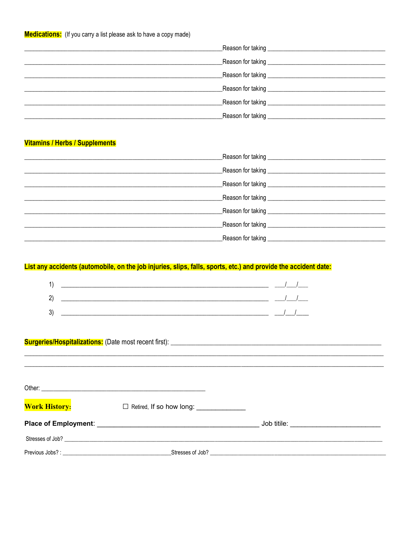| _Reason for taking __________________________________  |
|--------------------------------------------------------|
|                                                        |
|                                                        |
|                                                        |
| Reason for taking <b>contain the season for taking</b> |

#### **Vitamins / Herbs / Supplements**

| Reason for taking _________________________ |  |
|---------------------------------------------|--|
|                                             |  |

### List any accidents (automobile, on the job injuries, slips, falls, sports, etc.) and provide the accident date:

| 1            |  |
|--------------|--|
| $\mathbf{2}$ |  |
| 3'           |  |

### 

| <b>Work History:</b> |                  |                  |
|----------------------|------------------|------------------|
|                      |                  |                  |
|                      | Stresses of Job? |                  |
|                      |                  | Stresses of Job? |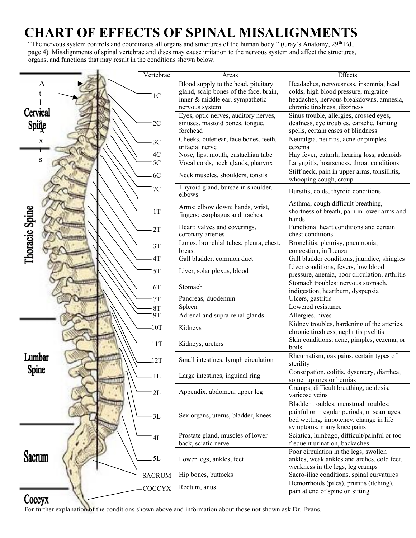# **CHART OF EFFECTS OF SPINAL MISALIGNMENTS**

"The nervous system controls and coordinates all organs and structures of the human body." (Gray's Anatomy, 29<sup>th</sup> Ed., page 4). Misalignments of spinal vertebrae and discs may cause irritation to the nervous system and affect the structures, organs, and functions that may result in the conditions shown below.

|                   | Vertebrae      | Areas                                                                                                                              | Effects                                                                                                                                                     |
|-------------------|----------------|------------------------------------------------------------------------------------------------------------------------------------|-------------------------------------------------------------------------------------------------------------------------------------------------------------|
| A                 | 1 <sup>C</sup> | Blood supply to the head, pituitary<br>gland, scalp bones of the face, brain,<br>inner & middle ear, sympathetic<br>nervous system | Headaches, nervousness, insomnia, head<br>colds, high blood pressure, migraine<br>headaches, nervous breakdowns, amnesia,<br>chronic tiredness, dizziness   |
| Cervical<br>Spine | 2C             | Eyes, optic nerves, auditory nerves,<br>sinuses, mastoid bones, tongue,<br>forehead                                                | Sinus trouble, allergies, crossed eyes,<br>deafness, eye troubles, earache, fainting<br>spells, certain cases of blindness                                  |
| X                 | 3C             | Cheeks, outer ear, face bones, teeth,<br>trifacial nerve                                                                           | Neuralgia, neuritis, acne or pimples,<br>eczema                                                                                                             |
|                   | 4C             | Nose, lips, mouth, eustachian tube                                                                                                 | Hay fever, catarrh, hearing loss, adenoids                                                                                                                  |
| S                 | 5C             | Vocal cords, neck glands, pharynx                                                                                                  | Laryngitis, hoarseness, throat conditions                                                                                                                   |
|                   | 6C             | Neck muscles, shoulders, tonsils                                                                                                   | Stiff neck, pain in upper arms, tonsillitis,<br>whooping cough, croup                                                                                       |
|                   | 7C             | Thyroid gland, bursae in shoulder,<br>elbows                                                                                       | Bursitis, colds, thyroid conditions                                                                                                                         |
| Thoracic Spine    | 1T             | Arms: elbow down; hands, wrist,<br>fingers; esophagus and trachea                                                                  | Asthma, cough difficult breathing,<br>shortness of breath, pain in lower arms and<br>hands                                                                  |
|                   | 2T             | Heart: valves and coverings,<br>coronary arteries                                                                                  | Functional heart conditions and certain<br>chest conditions                                                                                                 |
|                   | 3T             | Lungs, bronchial tubes, pleura, chest,<br>breast                                                                                   | Bronchitis, pleurisy, pneumonia,<br>congestion, influenza                                                                                                   |
|                   | 4T             | Gall bladder, common duct                                                                                                          | Gall bladder conditions, jaundice, shingles                                                                                                                 |
|                   | 5T             | Liver, solar plexus, blood                                                                                                         | Liver conditions, fevers, low blood<br>pressure, anemia, poor circulation, arthritis                                                                        |
|                   | 6T             | Stomach                                                                                                                            | Stomach troubles: nervous stomach,<br>indigestion, heartburn, dyspepsia                                                                                     |
|                   | 7T             | Pancreas, duodenum                                                                                                                 | Ulcers, gastritis                                                                                                                                           |
|                   | 8T             | Spleen                                                                                                                             | Lowered resistance                                                                                                                                          |
|                   | <b>9T</b>      | Adrenal and supra-renal glands                                                                                                     | Allergies, hives                                                                                                                                            |
|                   | $-10T$         | Kidneys                                                                                                                            | Kidney troubles, hardening of the arteries,<br>chronic tiredness, nephritis pyelitis                                                                        |
|                   | 11T            | Kidneys, ureters                                                                                                                   | Skin conditions: acne, pimples, eczema, or<br>boils                                                                                                         |
| Lumbar            | 12T            | Small intestines, lymph circulation                                                                                                | Rheumatism, gas pains, certain types of<br>sterility                                                                                                        |
| Spine             | - 1L           | Large intestines, inguinal ring                                                                                                    | Constipation, colitis, dysentery, diarrhea.<br>some ruptures or hernias                                                                                     |
|                   | $2L$           | Appendix, abdomen, upper leg                                                                                                       | Cramps, difficult breathing, acidosis,<br>varicose veins                                                                                                    |
|                   | 3L             | Sex organs, uterus, bladder, knees                                                                                                 | Bladder troubles, menstrual troubles:<br>painful or irregular periods, miscarriages,<br>bed wetting, impotency, change in life<br>symptoms, many knee pains |
|                   | $4\mathrm{L}$  | Prostate gland, muscles of lower<br>back, sciatic nerve                                                                            | Sciatica, lumbago, difficult/painful or too<br>frequent urination, backaches                                                                                |
| Sacrum            | 5L             | Lower legs, ankles, feet                                                                                                           | Poor circulation in the legs, swollen<br>ankles, weak ankles and arches, cold feet,<br>weakness in the legs, leg cramps                                     |
|                   | <b>SACRUM</b>  | Hip bones, buttocks                                                                                                                | Sacro-iliac conditions, spinal curvatures                                                                                                                   |
|                   | COCCYX         | Rectum, anus                                                                                                                       | Hemorrhoids (piles), pruritis (itching),<br>pain at end of spine on sitting                                                                                 |
| Coccyx            |                |                                                                                                                                    |                                                                                                                                                             |

For further explanation of the conditions shown above and information about those not shown ask Dr. Evans.